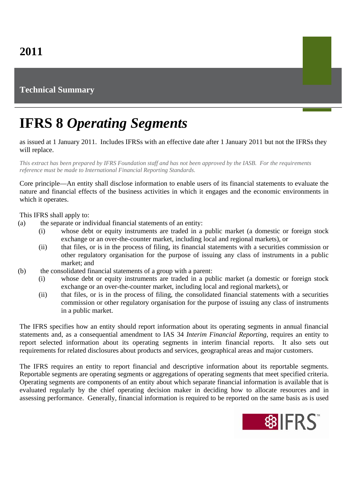## **Technical Summary**

## **IFRS 8** *Operating Segments*

as issued at 1 January 2011. Includes IFRSs with an effective date after 1 January 2011 but not the IFRSs they will replace.

*This extract has been prepared by IFRS Foundation staff and has not been approved by the IASB. For the requirements reference must be made to International Financial Reporting Standards.*

Core principle—An entity shall disclose information to enable users of its financial statements to evaluate the nature and financial effects of the business activities in which it engages and the economic environments in which it operates.

This IFRS shall apply to:

- (a) the separate or individual financial statements of an entity:
	- (i) whose debt or equity instruments are traded in a public market (a domestic or foreign stock exchange or an over-the-counter market, including local and regional markets), or
	- (ii) that files, or is in the process of filing, its financial statements with a securities commission or other regulatory organisation for the purpose of issuing any class of instruments in a public market; and
- (b) the consolidated financial statements of a group with a parent:
	- (i) whose debt or equity instruments are traded in a public market (a domestic or foreign stock exchange or an over-the-counter market, including local and regional markets), or
	- (ii) that files, or is in the process of filing, the consolidated financial statements with a securities commission or other regulatory organisation for the purpose of issuing any class of instruments in a public market.

The IFRS specifies how an entity should report information about its operating segments in annual financial statements and, as a consequential amendment to IAS 34 *Interim Financial Reporting*, requires an entity to report selected information about its operating segments in interim financial reports. It also sets out requirements for related disclosures about products and services, geographical areas and major customers.

The IFRS requires an entity to report financial and descriptive information about its reportable segments. Reportable segments are operating segments or aggregations of operating segments that meet specified criteria. Operating segments are components of an entity about which separate financial information is available that is evaluated regularly by the chief operating decision maker in deciding how to allocate resources and in assessing performance. Generally, financial information is required to be reported on the same basis as is used